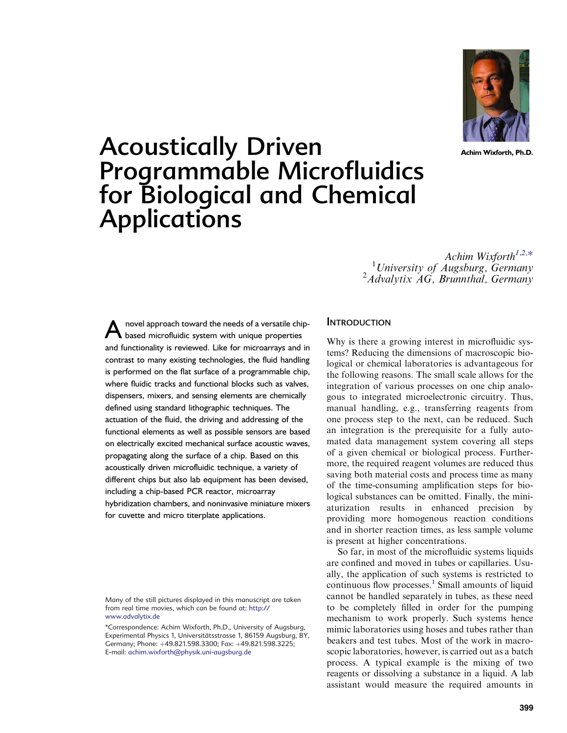

Achim Wixforth, Ph.D.

# Acoustically Driven Programmable Microfluidics for Biological and Chemical **Applications**

Achim Wixforth<sup>1,2,\*</sup>  $1$ University of Augsburg, Germany  $^{2}$ Advalytix AG, Brunnthal, Germany

A novel approach toward the needs of a versatile chipbased microfluidic system with unique properties and functionality is reviewed. Like for microarrays and in contrast to many existing technologies, the fluid handling is performed on the flat surface of a programmable chip, where fluidic tracks and functional blocks such as valves, dispensers, mixers, and sensing elements are chemically defined using standard lithographic techniques. The actuation of the fluid, the driving and addressing of the functional elements as well as possible sensors are based on electrically excited mechanical surface acoustic waves, propagating along the surface of a chip. Based on this acoustically driven microfluidic technique, a variety of different chips but also lab equipment has been devised, including a chip-based PCR reactor, microarray hybridization chambers, and noninvasive miniature mixers for cuvette and micro titerplate applications.

### **INTRODUCTION**

Why is there a growing interest in microfluidic systems? Reducing the dimensions of macroscopic biological or chemical laboratories is advantageous for the following reasons. The small scale allows for the integration of various processes on one chip analogous to integrated microelectronic circuitry. Thus, manual handling, e.g., transferring reagents from one process step to the next, can be reduced. Such an integration is the prerequisite for a fully automated data management system covering all steps of a given chemical or biological process. Furthermore, the required reagent volumes are reduced thus saving both material costs and process time as many of the time-consuming amplification steps for biological substances can be omitted. Finally, the miniaturization results in enhanced precision by providing more homogenous reaction conditions and in shorter reaction times, as less sample volume is present at higher concentrations.

So far, in most of the microfluidic systems liquids are confined and moved in tubes or capillaries. Usually, the application of such systems is restricted to continuous flow processes. [1](#page-6-0) Small amounts of liquid cannot be handled separately in tubes, as these need to be completely filled in order for the pumping mechanism to work properly. Such systems hence mimic laboratories using hoses and tubes rather than beakers and test tubes. Most of the work in macroscopic laboratories, however, is carried out as a batch process. A typical example is the mixing of two reagents or dissolving a substance in a liquid. A lab assistant would measure the required amounts in

Many of the still pictures displayed in this manuscript are taken from real time movies, which can be found at: [http://](http://www.advalytix.de) [www.advalytix.de](http://www.advalytix.de)

<sup>\*</sup>Correspondence: Achim Wixforth, Ph.D., University of Augsburg, Experimental Physics 1, Universitätsstrasse 1, 86159 Augsburg, BY, Germany; Phone: +49.821.598.3300; Fax: +49.821.598.3225; E-mail: [achim.wixforth@physik.uni-augsburg.de](mailto:achim.wixforth@physik.uni-augsburg.de)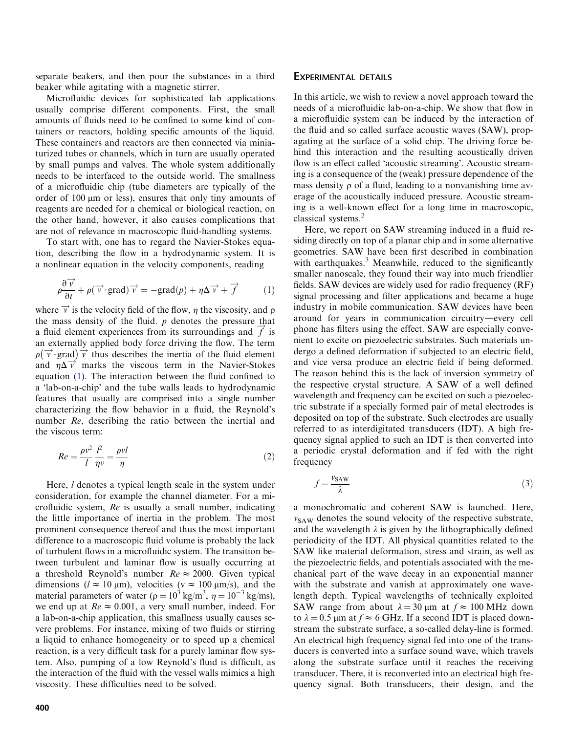separate beakers, and then pour the substances in a third beaker while agitating with a magnetic stirrer.

Microfluidic devices for sophisticated lab applications usually comprise different components. First, the small amounts of fluids need to be confined to some kind of containers or reactors, holding specific amounts of the liquid. These containers and reactors are then connected via miniaturized tubes or channels, which in turn are usually operated by small pumps and valves. The whole system additionally needs to be interfaced to the outside world. The smallness of a microfluidic chip (tube diameters are typically of the order of  $100 \mu m$  or less), ensures that only tiny amounts of reagents are needed for a chemical or biological reaction, on the other hand, however, it also causes complications that are not of relevance in macroscopic fluid-handling systems.

To start with, one has to regard the Navier-Stokes equation, describing the flow in a hydrodynamic system. It is a nonlinear equation in the velocity components, reading

$$
\rho \frac{\partial \overrightarrow{v}}{\partial t} + \rho (\overrightarrow{v} \cdot \text{grad}) \overrightarrow{v} = -\text{grad}(p) + \eta \Delta \overrightarrow{v} + \overrightarrow{f}
$$
 (1)

where  $\vec{v}$  is the velocity field of the flow,  $\eta$  the viscosity, and  $\rho$ the mass density of the fluid.  $p$  denotes the pressure that a fluid element experiences from its surroundings and  $\vec{f}$  is an externally applied body force driving the flow. The term  $\rho(\vec{v} \cdot \text{grad}) \vec{v}$  thus describes the inertia of the fluid element and  $\eta \Delta \vec{v}$  marks the viscous term in the Navier-Stokes equation (1). The interaction between the fluid confined to a 'lab-on-a-chip' and the tube walls leads to hydrodynamic features that usually are comprised into a single number characterizing the flow behavior in a fluid, the Reynold's number Re, describing the ratio between the inertial and the viscous term:

$$
Re = \frac{\rho v^2}{l} \frac{l^2}{\eta v} = \frac{\rho v l}{\eta}
$$
 (2)

Here, *l* denotes a typical length scale in the system under consideration, for example the channel diameter. For a microfluidic system, Re is usually a small number, indicating the little importance of inertia in the problem. The most prominent consequence thereof and thus the most important difference to a macroscopic fluid volume is probably the lack of turbulent flows in a microfluidic system. The transition between turbulent and laminar flow is usually occurring at a threshold Reynold's number  $Re \approx 2000$ . Given typical dimensions ( $l \approx 10 \text{ }\mu\text{m}$ ), velocities ( $v \approx 100 \text{ }\mu\text{m/s}$ ), and the material parameters of water ( $\rho = 10^3$  kg/m<sup>3</sup>,  $\eta = 10^{-3}$  kg/ms), we end up at  $Re \approx 0.001$ , a very small number, indeed. For a lab-on-a-chip application, this smallness usually causes severe problems. For instance, mixing of two fluids or stirring a liquid to enhance homogeneity or to speed up a chemical reaction, is a very difficult task for a purely laminar flow system. Also, pumping of a low Reynold's fluid is difficult, as the interaction of the fluid with the vessel walls mimics a high viscosity. These difficulties need to be solved.

### EXPERIMENTAL DETAILS

In this article, we wish to review a novel approach toward the needs of a microfluidic lab-on-a-chip. We show that flow in a microfluidic system can be induced by the interaction of the fluid and so called surface acoustic waves (SAW), propagating at the surface of a solid chip. The driving force behind this interaction and the resulting acoustically driven flow is an effect called 'acoustic streaming'. Acoustic streaming is a consequence of the (weak) pressure dependence of the mass density  $\rho$  of a fluid, leading to a nonvanishing time average of the acoustically induced pressure. Acoustic streaming is a well-known effect for a long time in macroscopic, classical systems. [2](#page-6-0)

Here, we report on SAW streaming induced in a fluid residing directly on top of a planar chip and in some alternative geometries. SAW have been first described in combination with earthquakes.<sup>[3](#page-6-0)</sup> Meanwhile, reduced to the significantly smaller nanoscale, they found their way into much friendlier fields. SAW devices are widely used for radio frequency (RF) signal processing and filter applications and became a huge industry in mobile communication. SAW devices have been around for years in communication circuitry—every cell phone has filters using the effect. SAW are especially convenient to excite on piezoelectric substrates. Such materials undergo a defined deformation if subjected to an electric field, and vice versa produce an electric field if being deformed. The reason behind this is the lack of inversion symmetry of the respective crystal structure. A SAW of a well defined wavelength and frequency can be excited on such a piezoelectric substrate if a specially formed pair of metal electrodes is deposited on top of the substrate. Such electrodes are usually referred to as interdigitated transducers (IDT). A high frequency signal applied to such an IDT is then converted into a periodic crystal deformation and if fed with the right frequency

$$
f = \frac{v_{\text{SAW}}}{\lambda} \tag{3}
$$

a monochromatic and coherent SAW is launched. Here,  $v<sub>SAW</sub>$  denotes the sound velocity of the respective substrate, and the wavelength  $\lambda$  is given by the lithographically defined periodicity of the IDT. All physical quantities related to the SAW like material deformation, stress and strain, as well as the piezoelectric fields, and potentials associated with the mechanical part of the wave decay in an exponential manner with the substrate and vanish at approximately one wavelength depth. Typical wavelengths of technically exploited SAW range from about  $\lambda = 30 \mu m$  at  $f \approx 100 \text{ MHz}$  down to  $\lambda = 0.5$  µm at  $f \approx 6$  GHz. If a second IDT is placed downstream the substrate surface, a so-called delay-line is formed. An electrical high frequency signal fed into one of the transducers is converted into a surface sound wave, which travels along the substrate surface until it reaches the receiving transducer. There, it is reconverted into an electrical high frequency signal. Both transducers, their design, and the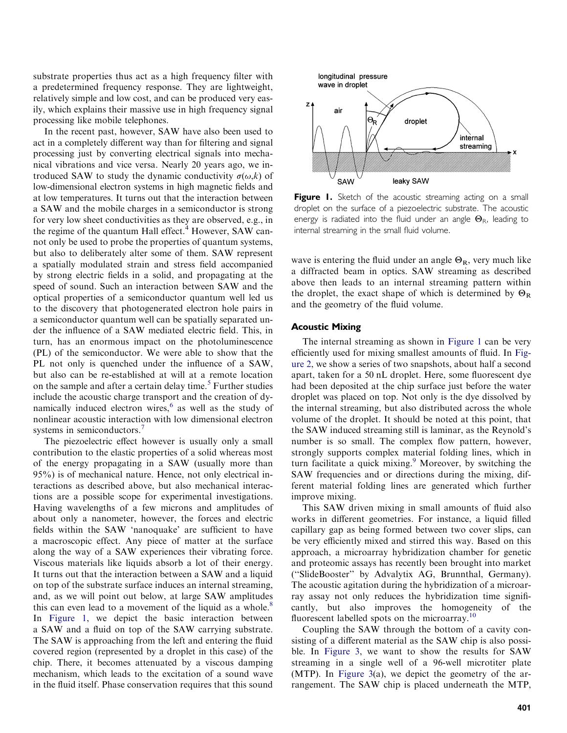substrate properties thus act as a high frequency filter with a predetermined frequency response. They are lightweight, relatively simple and low cost, and can be produced very easily, which explains their massive use in high frequency signal processing like mobile telephones.

In the recent past, however, SAW have also been used to act in a completely different way than for filtering and signal processing just by converting electrical signals into mechanical vibrations and vice versa. Nearly 20 years ago, we introduced SAW to study the dynamic conductivity  $\sigma(\omega,k)$  of low-dimensional electron systems in high magnetic fields and at low temperatures. It turns out that the interaction between a SAW and the mobile charges in a semiconductor is strong for very low sheet conductivities as they are observed, e.g., in the regime of the quantum Hall effect.<sup>[4](#page-6-0)</sup> However, SAW cannot only be used to probe the properties of quantum systems, but also to deliberately alter some of them. SAW represent a spatially modulated strain and stress field accompanied by strong electric fields in a solid, and propagating at the speed of sound. Such an interaction between SAW and the optical properties of a semiconductor quantum well led us to the discovery that photogenerated electron hole pairs in a semiconductor quantum well can be spatially separated under the influence of a SAW mediated electric field. This, in turn, has an enormous impact on the photoluminescence (PL) of the semiconductor. We were able to show that the PL not only is quenched under the influence of a SAW, but also can be re-established at will at a remote location on the sample and after a certain delay time. [5](#page-6-0) Further studies include the acoustic charge transport and the creation of dynamically induced electron wires, [6](#page-6-0) as well as the study of nonlinear acoustic interaction with low dimensional electron systems in semiconductors.<sup>[7](#page-6-0)</sup>

The piezoelectric effect however is usually only a small contribution to the elastic properties of a solid whereas most of the energy propagating in a SAW (usually more than 95%) is of mechanical nature. Hence, not only electrical interactions as described above, but also mechanical interactions are a possible scope for experimental investigations. Having wavelengths of a few microns and amplitudes of about only a nanometer, however, the forces and electric fields within the SAW 'nanoquake' are sufficient to have a macroscopic effect. Any piece of matter at the surface along the way of a SAW experiences their vibrating force. Viscous materials like liquids absorb a lot of their energy. It turns out that the interaction between a SAW and a liquid on top of the substrate surface induces an internal streaming, and, as we will point out below, at large SAW amplitudes this can even lead to a movement of the liquid as a whole.<sup>[8](#page-6-0)</sup> In Figure 1, we depict the basic interaction between a SAW and a fluid on top of the SAW carrying substrate. The SAW is approaching from the left and entering the fluid covered region (represented by a droplet in this case) of the chip. There, it becomes attenuated by a viscous damping mechanism, which leads to the excitation of a sound wave in the fluid itself. Phase conservation requires that this sound



Figure 1. Sketch of the acoustic streaming acting on a small droplet on the surface of a piezoelectric substrate. The acoustic energy is radiated into the fluid under an angle  $\Theta_{\rm R}$ , leading to internal streaming in the small fluid volume.

wave is entering the fluid under an angle  $\Theta_R$ , very much like a diffracted beam in optics. SAW streaming as described above then leads to an internal streaming pattern within the droplet, the exact shape of which is determined by  $\Theta_R$ and the geometry of the fluid volume.

#### Acoustic Mixing

The internal streaming as shown in Figure 1 can be very efficiently used for mixing smallest amounts of fluid. In [Fig](#page-3-0)[ure](#page-3-0) 2, we show a series of two snapshots, about half a second apart, taken for a 50 nL droplet. Here, some fluorescent dye had been deposited at the chip surface just before the water droplet was placed on top. Not only is the dye dissolved by the internal streaming, but also distributed across the whole volume of the droplet. It should be noted at this point, that the SAW induced streaming still is laminar, as the Reynold's number is so small. The complex flow pattern, however, strongly supports complex material folding lines, which in turn facilitate a quick mixing. [9](#page-6-0) Moreover, by switching the SAW frequencies and or directions during the mixing, different material folding lines are generated which further improve mixing.

This SAW driven mixing in small amounts of fluid also works in different geometries. For instance, a liquid filled capillary gap as being formed between two cover slips, can be very efficiently mixed and stirred this way. Based on this approach, a microarray hybridization chamber for genetic and proteomic assays has recently been brought into market (''SlideBooster'' by Advalytix AG, Brunnthal, Germany). The acoustic agitation during the hybridization of a microarray assay not only reduces the hybridization time significantly, but also improves the homogeneity of the fluorescent labelled spots on the microarray.<sup>[10](#page-6-0)</sup>

Coupling the SAW through the bottom of a cavity consisting of a different material as the SAW chip is also possible. In [Figure](#page-3-0) 3, we want to show the results for SAW streaming in a single well of a 96-well microtiter plate (MTP). In [Figure](#page-3-0) 3(a), we depict the geometry of the arrangement. The SAW chip is placed underneath the MTP,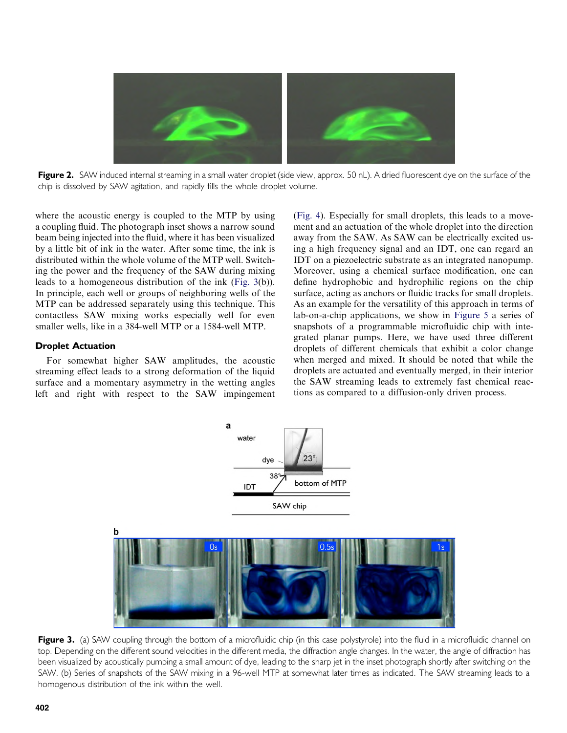<span id="page-3-0"></span>

Figure 2. SAW induced internal streaming in a small water droplet (side view, approx. 50 nL). A dried fluorescent dye on the surface of the chip is dissolved by SAW agitation, and rapidly fills the whole droplet volume.

where the acoustic energy is coupled to the MTP by using a coupling fluid. The photograph inset shows a narrow sound beam being injected into the fluid, where it has been visualized by a little bit of ink in the water. After some time, the ink is distributed within the whole volume of the MTP well. Switching the power and the frequency of the SAW during mixing leads to a homogeneous distribution of the ink (Fig. 3(b)). In principle, each well or groups of neighboring wells of the MTP can be addressed separately using this technique. This contactless SAW mixing works especially well for even smaller wells, like in a 384-well MTP or a 1584-well MTP.

# Droplet Actuation

For somewhat higher SAW amplitudes, the acoustic streaming effect leads to a strong deformation of the liquid surface and a momentary asymmetry in the wetting angles left and right with respect to the SAW impingement [\(Fig.](#page-4-0) 4). Especially for small droplets, this leads to a movement and an actuation of the whole droplet into the direction away from the SAW. As SAW can be electrically excited using a high frequency signal and an IDT, one can regard an IDT on a piezoelectric substrate as an integrated nanopump. Moreover, using a chemical surface modification, one can define hydrophobic and hydrophilic regions on the chip surface, acting as anchors or fluidic tracks for small droplets. As an example for the versatility of this approach in terms of lab-on-a-chip applications, we show in [Figure](#page-4-0) 5 a series of snapshots of a programmable microfluidic chip with integrated planar pumps. Here, we have used three different droplets of different chemicals that exhibit a color change when merged and mixed. It should be noted that while the droplets are actuated and eventually merged, in their interior the SAW streaming leads to extremely fast chemical reactions as compared to a diffusion-only driven process.



Figure 3. (a) SAW coupling through the bottom of a microfluidic chip (in this case polystyrole) into the fluid in a microfluidic channel on top. Depending on the different sound velocities in the different media, the diffraction angle changes. In the water, the angle of diffraction has been visualized by acoustically pumping a small amount of dye, leading to the sharp jet in the inset photograph shortly after switching on the SAW. (b) Series of snapshots of the SAW mixing in a 96-well MTP at somewhat later times as indicated. The SAW streaming leads to a homogenous distribution of the ink within the well.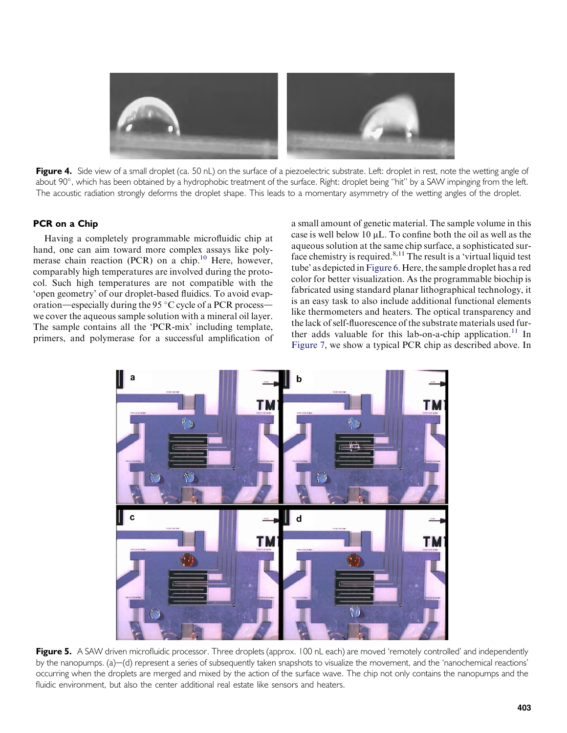<span id="page-4-0"></span>

Figure 4. Side view of a small droplet (ca. 50 nL) on the surface of a piezoelectric substrate. Left: droplet in rest, note the wetting angle of about 90°, which has been obtained by a hydrophobic treatment of the surface. Right: droplet being "hit" by a SAW impinging from the left. The acoustic radiation strongly deforms the droplet shape. This leads to a momentary asymmetry of the wetting angles of the droplet.

## PCR on a Chip

Having a completely programmable microfluidic chip at hand, one can aim toward more complex assays like poly-merase chain reaction (PCR) on a chip.<sup>[10](#page-6-0)</sup> Here, however, comparably high temperatures are involved during the protocol. Such high temperatures are not compatible with the 'open geometry' of our droplet-based fluidics. To avoid evaporation—especially during the 95 °C cycle of a PCR process we cover the aqueous sample solution with a mineral oil layer. The sample contains all the 'PCR-mix' including template, primers, and polymerase for a successful amplification of a small amount of genetic material. The sample volume in this case is well below 10 mL. To confine both the oil as well as the aqueous solution at the same chip surface, a sophisticated surface chemistry is required.<sup>8,11</sup> The result is a 'virtual liquid test tube' as depicted in [Figure](#page-5-0) 6. Here, the sample droplet has a red color for better visualization. As the programmable biochip is fabricated using standard planar lithographical technology, it is an easy task to also include additional functional elements like thermometers and heaters. The optical transparency and the lack of self-fluorescence of the substrate materials used fur-ther adds valuable for this lab-on-a-chip application.<sup>[11](#page-6-0)</sup> In [Figure](#page-5-0) 7, we show a typical PCR chip as described above. In



Figure 5. A SAW driven microfluidic processor. Three droplets (approx. 100 nL each) are moved 'remotely controlled' and independently by the nanopumps. (a)–(d) represent a series of subsequently taken snapshots to visualize the movement, and the 'nanochemical reactions' occurring when the droplets are merged and mixed by the action of the surface wave. The chip not only contains the nanopumps and the fluidic environment, but also the center additional real estate like sensors and heaters.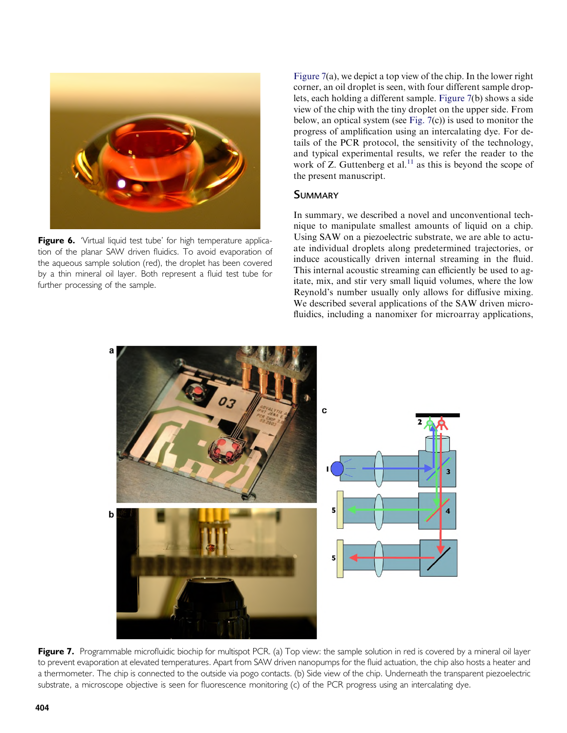<span id="page-5-0"></span>

Figure 6. 'Virtual liquid test tube' for high temperature application of the planar SAW driven fluidics. To avoid evaporation of the aqueous sample solution (red), the droplet has been covered by a thin mineral oil layer. Both represent a fluid test tube for further processing of the sample.

Figure 7(a), we depict a top view of the chip. In the lower right corner, an oil droplet is seen, with four different sample droplets, each holding a different sample. Figure 7(b) shows a side view of the chip with the tiny droplet on the upper side. From below, an optical system (see Fig. 7(c)) is used to monitor the progress of amplification using an intercalating dye. For details of the PCR protocol, the sensitivity of the technology, and typical experimental results, we refer the reader to the work of Z. Guttenberg et al. $^{11}$  $^{11}$  $^{11}$  as this is beyond the scope of the present manuscript.

# **SUMMARY**

In summary, we described a novel and unconventional technique to manipulate smallest amounts of liquid on a chip. Using SAW on a piezoelectric substrate, we are able to actuate individual droplets along predetermined trajectories, or induce acoustically driven internal streaming in the fluid. This internal acoustic streaming can efficiently be used to agitate, mix, and stir very small liquid volumes, where the low Reynold's number usually only allows for diffusive mixing. We described several applications of the SAW driven microfluidics, including a nanomixer for microarray applications,



Figure 7. Programmable microfluidic biochip for multispot PCR. (a) Top view: the sample solution in red is covered by a mineral oil layer to prevent evaporation at elevated temperatures. Apart from SAW driven nanopumps for the fluid actuation, the chip also hosts a heater and a thermometer. The chip is connected to the outside via pogo contacts. (b) Side view of the chip. Underneath the transparent piezoelectric substrate, a microscope objective is seen for fluorescence monitoring (c) of the PCR progress using an intercalating dye.